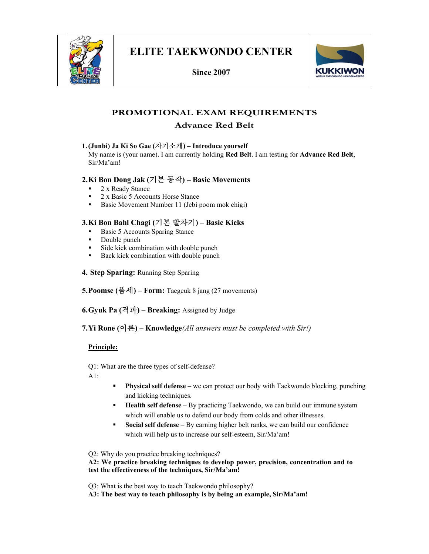

Since 2007



# PROMOTIONAL EXAM REQUIREMENTS

# Advance Red Belt

#### 1.(Junbi) Ja Ki So Gae (자기소개) – Introduce yourself

My name is (your name). I am currently holding Red Belt. I am testing for Advance Red Belt, Sir/Ma'am!

## 2.Ki Bon Dong Jak (기본 동작) – Basic Movements

- 2 x Ready Stance
- 2 x Basic 5 Accounts Horse Stance
- Basic Movement Number 11 (Jebi poom mok chigi)

## 3.Ki Bon Bahl Chagi (기본 발차기) – Basic Kicks

- Basic 5 Accounts Sparing Stance
- Double punch
- Side kick combination with double punch
- Back kick combination with double punch
- 4. Step Sparing: Running Step Sparing

5. Poomse  $(\frac{\mathbb{Z}}{d})$  – Form: Taegeuk 8 jang (27 movements)

6.Gyuk Pa (격파) – Breaking: Assigned by Judge

7. Yi Rone  $(0]$ 론) – Knowledge(*All answers must be completed with Sir!*)

#### Principle:

Q1: What are the three types of self-defense?

A1:

- Physical self defense we can protect our body with Taekwondo blocking, punching and kicking techniques.
- **Health self defense** By practicing Taekwondo, we can build our immune system which will enable us to defend our body from colds and other illnesses.
- **Social self defense** By earning higher belt ranks, we can build our confidence which will help us to increase our self-esteem, Sir/Ma'am!

Q2: Why do you practice breaking techniques?

A2: We practice breaking techniques to develop power, precision, concentration and to test the effectiveness of the techniques, Sir/Ma'am!

Q3: What is the best way to teach Taekwondo philosophy?

A3: The best way to teach philosophy is by being an example, Sir/Ma'am!